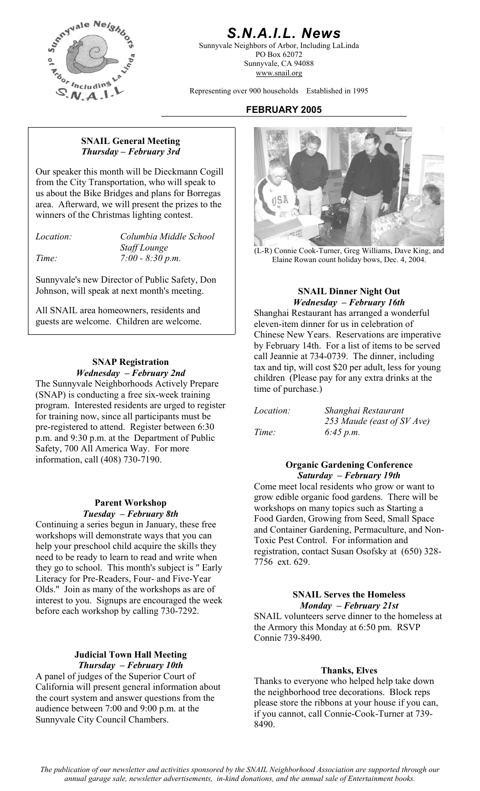

# *S.N.A.I.L. News*

Sunnyvale Neighbors of Arbor, Including LaLinda PO Box 62072 Sunnyvale, CA 94088 www.snail.org

Representing over 900 households Established in 1995

### **FEBRUARY 2005**

### **SNAIL General Meeting**  *Thursday – February 3rd*

Our speaker this month will be Dieckmann Cogill from the City Transportation, who will speak to us about the Bike Bridges and plans for Borregas area. Afterward, we will present the prizes to the winners of the Christmas lighting contest.

*Location: Columbia Middle School* 

Sunnyvale's new Director of Public Safety, Don Johnson, will speak at next month's meeting. **SNAIL Dinner Night Out** 

*Wednesday – February 16th*<br>Shanghai Restaurant has arranged a won guests are welcome. Children are welcome.

### **SNAP Registration**  *Wednesday – February 2nd*

The Sunnyvale Neighborhoods Actively Prepare (SNAP) is conducting a free six-week training program. Interested residents are urged to register for training now, since all participants must be pre-registered to attend. Register between 6:30 p.m. and 9:30 p.m. at the Department of Public Safety, 700 All America Way. For more information, call (408) 730-7190.

### **Parent Workshop** *Tuesday – February 8th*

Continuing a series begun in January, these free workshops will demonstrate ways that you can help your preschool child acquire the skills they need to be ready to learn to read and write when they go to school. This month's subject is " Early Literacy for Pre-Readers, Four- and Five-Year Olds." Join as many of the workshops as are of interest to you. Signups are encouraged the week before each workshop by calling 730-7292.

# **Judicial Town Hall Meeting**

**Thursday – February 10th Thanks, Elves**<br>A panel of judges of the Superior Court of **The Superior Court of The Superior Court** of California will present general information about the court system and answer questions from the audience between 7:00 and 9:00 p.m. at the Sunnyvale City Council Chambers.



*Staff Lounge*<br> *Time:* 7:00 - 8:30 p.m. (L-R) Connie Cook-Turner, Greg Williams, Dave King, and<br>
Flaine Rowan count holiday hows Dec 4 2004 Elaine Rowan count holiday bows, Dec. 4, 2004.

Shanghai Restaurant has arranged a wonderful eleven-item dinner for us in celebration of Chinese New Years. Reservations are imperative by February 14th. For a list of items to be served call Jeannie at 734-0739. The dinner, including tax and tip, will cost \$20 per adult, less for young children (Please pay for any extra drinks at the time of purchase.)

| <i>Location:</i> | Shanghai Restaurant        |
|------------------|----------------------------|
|                  | 253 Maude (east of SV Ave) |
| Time:            | 6:45 p.m.                  |

### **Organic Gardening Conference**  *Saturday – February 19th*

Come meet local residents who grow or want to grow edible organic food gardens. There will be workshops on many topics such as Starting a Food Garden, Growing from Seed, Small Space and Container Gardening, Permaculture, and Non-Toxic Pest Control. For information and registration, contact Susan Osofsky at (650) 328- 7756 ext. 629.

### **SNAIL Serves the Homeless**  *Monday – February 21st*

SNAIL volunteers serve dinner to the homeless at the Armory this Monday at 6:50 pm. RSVP Connie 739-8490.

Thanks to everyone who helped help take down the neighborhood tree decorations. Block reps please store the ribbons at your house if you can, if you cannot, call Connie-Cook-Turner at 739- 8490.

*The publication of our newsletter and activities sponsored by the SNAIL Neighborhood Association are supported through our annual garage sale, newsletter advertisements, in-kind donations, and the annual sale of Entertainment books.*